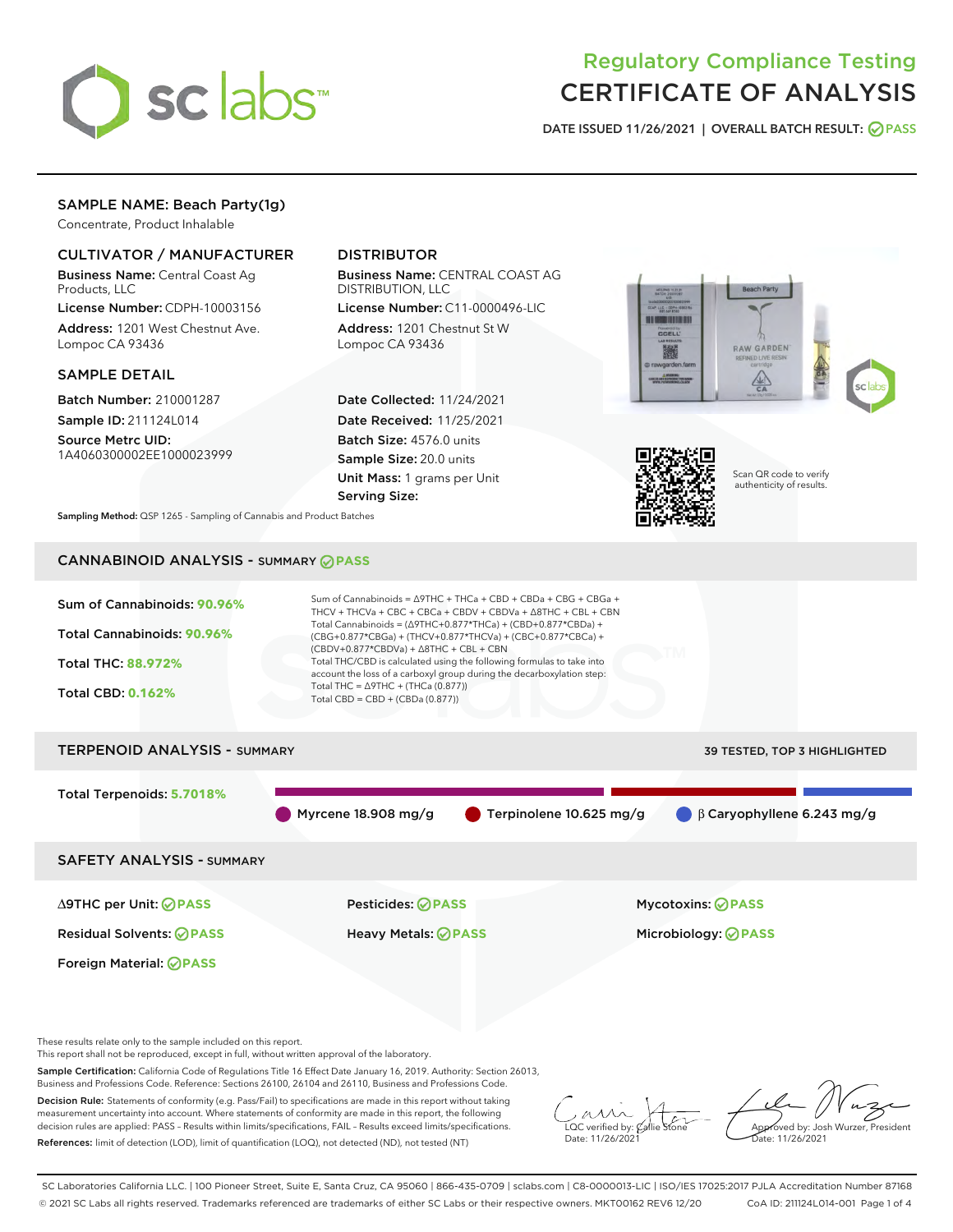

# Regulatory Compliance Testing CERTIFICATE OF ANALYSIS

DATE ISSUED 11/26/2021 | OVERALL BATCH RESULT: @ PASS

# SAMPLE NAME: Beach Party(1g)

Concentrate, Product Inhalable

# CULTIVATOR / MANUFACTURER

Business Name: Central Coast Ag Products, LLC

License Number: CDPH-10003156 Address: 1201 West Chestnut Ave. Lompoc CA 93436

#### SAMPLE DETAIL

Batch Number: 210001287 Sample ID: 211124L014

Source Metrc UID:

1A4060300002EE1000023999

# DISTRIBUTOR

Business Name: CENTRAL COAST AG DISTRIBUTION, LLC

License Number: C11-0000496-LIC Address: 1201 Chestnut St W Lompoc CA 93436

Date Collected: 11/24/2021 Date Received: 11/25/2021 Batch Size: 4576.0 units Sample Size: 20.0 units Unit Mass: 1 grams per Unit Serving Size:





Scan QR code to verify authenticity of results.

Sampling Method: QSP 1265 - Sampling of Cannabis and Product Batches

# CANNABINOID ANALYSIS - SUMMARY **PASS**



This report shall not be reproduced, except in full, without written approval of the laboratory.

Sample Certification: California Code of Regulations Title 16 Effect Date January 16, 2019. Authority: Section 26013, Business and Professions Code. Reference: Sections 26100, 26104 and 26110, Business and Professions Code.

Decision Rule: Statements of conformity (e.g. Pass/Fail) to specifications are made in this report without taking measurement uncertainty into account. Where statements of conformity are made in this report, the following decision rules are applied: PASS – Results within limits/specifications, FAIL – Results exceed limits/specifications. References: limit of detection (LOD), limit of quantification (LOQ), not detected (ND), not tested (NT)

 $\overline{\text{C}}$  verified by:  $\mathcal C$ Date: 11/26/202<sup>1</sup>

Approved by: Josh Wurzer, President ate: 11/26/2021

SC Laboratories California LLC. | 100 Pioneer Street, Suite E, Santa Cruz, CA 95060 | 866-435-0709 | sclabs.com | C8-0000013-LIC | ISO/IES 17025:2017 PJLA Accreditation Number 87168 © 2021 SC Labs all rights reserved. Trademarks referenced are trademarks of either SC Labs or their respective owners. MKT00162 REV6 12/20 CoA ID: 211124L014-001 Page 1 of 4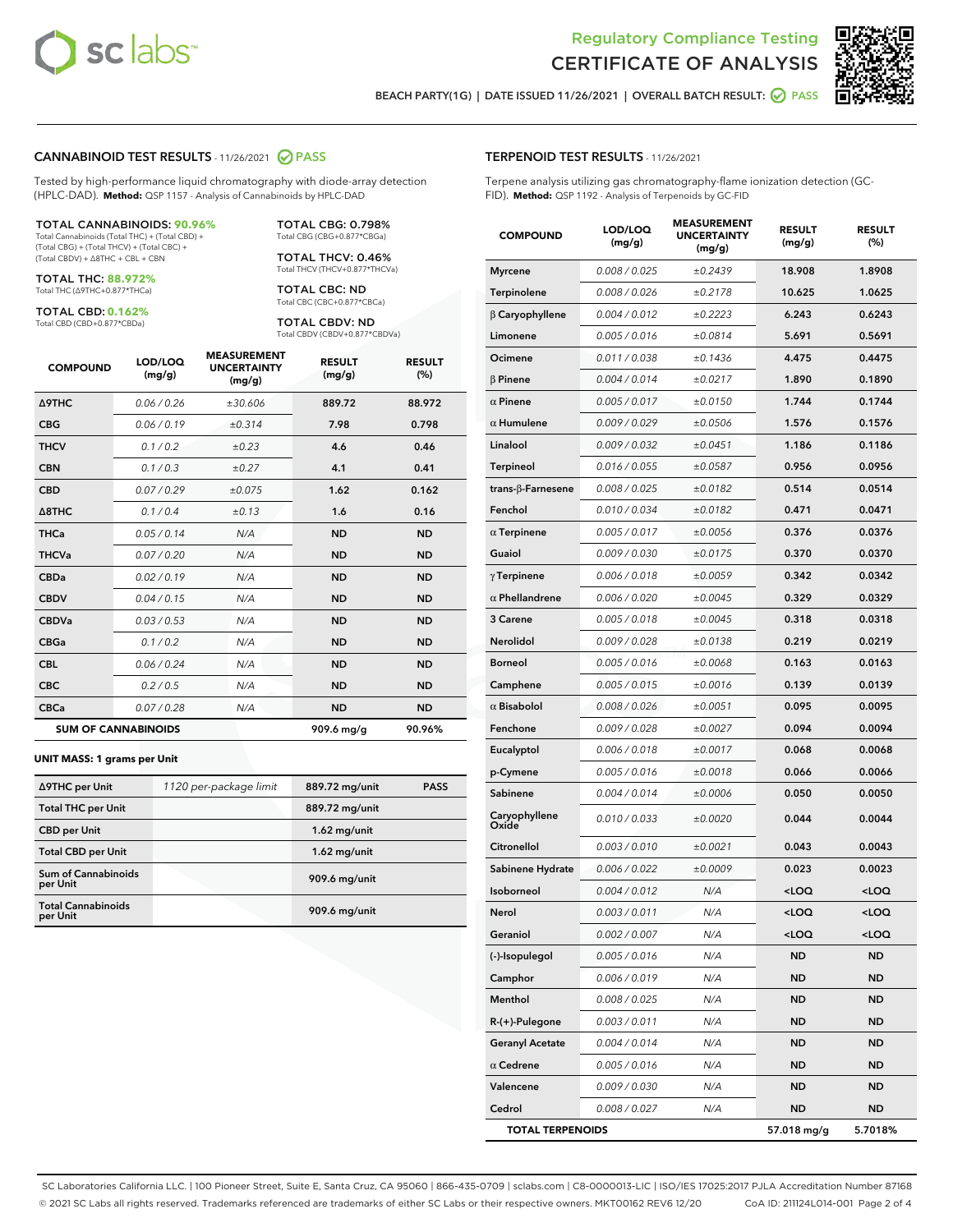



BEACH PARTY(1G) | DATE ISSUED 11/26/2021 | OVERALL BATCH RESULT: O PASS

#### CANNABINOID TEST RESULTS - 11/26/2021 2 PASS

Tested by high-performance liquid chromatography with diode-array detection (HPLC-DAD). **Method:** QSP 1157 - Analysis of Cannabinoids by HPLC-DAD

#### TOTAL CANNABINOIDS: **90.96%**

Total Cannabinoids (Total THC) + (Total CBD) + (Total CBG) + (Total THCV) + (Total CBC) + (Total CBDV) + ∆8THC + CBL + CBN

TOTAL THC: **88.972%** Total THC (∆9THC+0.877\*THCa)

TOTAL CBD: **0.162%**

Total CBD (CBD+0.877\*CBDa)

TOTAL CBG: 0.798% Total CBG (CBG+0.877\*CBGa)

TOTAL THCV: 0.46% Total THCV (THCV+0.877\*THCVa)

TOTAL CBC: ND Total CBC (CBC+0.877\*CBCa)

TOTAL CBDV: ND Total CBDV (CBDV+0.877\*CBDVa)

| <b>COMPOUND</b>            | LOD/LOQ<br>(mg/g) | <b>MEASUREMENT</b><br><b>UNCERTAINTY</b><br>(mg/g) | <b>RESULT</b><br>(mg/g) | <b>RESULT</b><br>(%) |
|----------------------------|-------------------|----------------------------------------------------|-------------------------|----------------------|
| <b>A9THC</b>               | 0.06 / 0.26       | ±30.606                                            | 889.72                  | 88.972               |
| <b>CBG</b>                 | 0.06/0.19         | ±0.314                                             | 7.98                    | 0.798                |
| <b>THCV</b>                | 0.1 / 0.2         | $\pm 0.23$                                         | 4.6                     | 0.46                 |
| <b>CBN</b>                 | 0.1/0.3           | ±0.27                                              | 4.1                     | 0.41                 |
| <b>CBD</b>                 | 0.07/0.29         | ±0.075                                             | 1.62                    | 0.162                |
| $\triangle$ 8THC           | 0.1 / 0.4         | ±0.13                                              | 1.6                     | 0.16                 |
| <b>THCa</b>                | 0.05/0.14         | N/A                                                | <b>ND</b>               | <b>ND</b>            |
| <b>THCVa</b>               | 0.07/0.20         | N/A                                                | <b>ND</b>               | <b>ND</b>            |
| <b>CBDa</b>                | 0.02/0.19         | N/A                                                | <b>ND</b>               | <b>ND</b>            |
| <b>CBDV</b>                | 0.04/0.15         | N/A                                                | <b>ND</b>               | <b>ND</b>            |
| <b>CBDVa</b>               | 0.03/0.53         | N/A                                                | <b>ND</b>               | <b>ND</b>            |
| <b>CBGa</b>                | 0.1/0.2           | N/A                                                | <b>ND</b>               | <b>ND</b>            |
| <b>CBL</b>                 | 0.06 / 0.24       | N/A                                                | <b>ND</b>               | <b>ND</b>            |
| <b>CBC</b>                 | 0.2 / 0.5         | N/A                                                | <b>ND</b>               | <b>ND</b>            |
| <b>CBCa</b>                | 0.07 / 0.28       | N/A                                                | <b>ND</b>               | <b>ND</b>            |
| <b>SUM OF CANNABINOIDS</b> |                   |                                                    | 909.6 mg/g              | 90.96%               |

#### **UNIT MASS: 1 grams per Unit**

| ∆9THC per Unit                         | 1120 per-package limit | 889.72 mg/unit | <b>PASS</b> |
|----------------------------------------|------------------------|----------------|-------------|
| <b>Total THC per Unit</b>              |                        | 889.72 mg/unit |             |
| <b>CBD</b> per Unit                    |                        | $1.62$ mg/unit |             |
| <b>Total CBD per Unit</b>              |                        | $1.62$ mg/unit |             |
| <b>Sum of Cannabinoids</b><br>per Unit |                        | 909.6 mg/unit  |             |
| <b>Total Cannabinoids</b><br>per Unit  |                        | 909.6 mg/unit  |             |

| <b>COMPOUND</b>         | LOD/LOQ<br>(mg/g) | <b>MEASUREMENT</b><br><b>UNCERTAINTY</b><br>(mg/g) | <b>RESULT</b><br>(mg/g)                          | <b>RESULT</b><br>(%) |
|-------------------------|-------------------|----------------------------------------------------|--------------------------------------------------|----------------------|
| <b>Myrcene</b>          | 0.008 / 0.025     | ±0.2439                                            | 18.908                                           | 1.8908               |
| Terpinolene             | 0.008 / 0.026     | ±0.2178                                            | 10.625                                           | 1.0625               |
| $\beta$ Caryophyllene   | 0.004 / 0.012     | ±0.2223                                            | 6.243                                            | 0.6243               |
| Limonene                | 0.005 / 0.016     | ±0.0814                                            | 5.691                                            | 0.5691               |
| Ocimene                 | 0.011 / 0.038     | ±0.1436                                            | 4.475                                            | 0.4475               |
| <b>B</b> Pinene         | 0.004 / 0.014     | ±0.0217                                            | 1.890                                            | 0.1890               |
| $\alpha$ Pinene         | 0.005 / 0.017     | ±0.0150                                            | 1.744                                            | 0.1744               |
| $\alpha$ Humulene       | 0.009 / 0.029     | ±0.0506                                            | 1.576                                            | 0.1576               |
| Linalool                | 0.009 / 0.032     | ±0.0451                                            | 1.186                                            | 0.1186               |
| Terpineol               | 0.016 / 0.055     | ±0.0587                                            | 0.956                                            | 0.0956               |
| trans-β-Farnesene       | 0.008 / 0.025     | ±0.0182                                            | 0.514                                            | 0.0514               |
| Fenchol                 | 0.010 / 0.034     | ±0.0182                                            | 0.471                                            | 0.0471               |
| $\alpha$ Terpinene      | 0.005 / 0.017     | ±0.0056                                            | 0.376                                            | 0.0376               |
| Guaiol                  | 0.009 / 0.030     | ±0.0175                                            | 0.370                                            | 0.0370               |
| $\gamma$ Terpinene      | 0.006 / 0.018     | ±0.0059                                            | 0.342                                            | 0.0342               |
| $\alpha$ Phellandrene   | 0.006 / 0.020     | ±0.0045                                            | 0.329                                            | 0.0329               |
| 3 Carene                | 0.005 / 0.018     | ±0.0045                                            | 0.318                                            | 0.0318               |
| <b>Nerolidol</b>        | 0.009 / 0.028     | ±0.0138                                            | 0.219                                            | 0.0219               |
| <b>Borneol</b>          | 0.005 / 0.016     | ±0.0068                                            | 0.163                                            | 0.0163               |
| Camphene                | 0.005 / 0.015     | ±0.0016                                            | 0.139                                            | 0.0139               |
| $\alpha$ Bisabolol      | 0.008 / 0.026     | ±0.0051                                            | 0.095                                            | 0.0095               |
| Fenchone                | 0.009 / 0.028     | ±0.0027                                            | 0.094                                            | 0.0094               |
| Eucalyptol              | 0.006 / 0.018     | ±0.0017                                            | 0.068                                            | 0.0068               |
| p-Cymene                | 0.005 / 0.016     | ±0.0018                                            | 0.066                                            | 0.0066               |
| Sabinene                | 0.004 / 0.014     | ±0.0006                                            | 0.050                                            | 0.0050               |
| Caryophyllene<br>Oxide  | 0.010 / 0.033     | ±0.0020                                            | 0.044                                            | 0.0044               |
| Citronellol             | 0.003 / 0.010     | ±0.0021                                            | 0.043                                            | 0.0043               |
| Sabinene Hydrate        | 0.006 / 0.022     | ±0.0009                                            | 0.023                                            | 0.0023               |
| Isoborneol              | 0.004 / 0.012     | N/A                                                | <loq< th=""><th><math>&lt;</math>LOQ</th></loq<> | $<$ LOQ              |
| Nerol                   | 0.003 / 0.011     | N/A                                                | $<$ LOO                                          | $<$ LOQ              |
| Geraniol                | 0.002 / 0.007     | N/A                                                | $<$ LOQ                                          | 100                  |
| (-)-Isopulegol          | 0.005 / 0.016     | N/A                                                | ND                                               | ND                   |
| Camphor                 | 0.006 / 0.019     | N/A                                                | ND                                               | ND                   |
| Menthol                 | 0.008 / 0.025     | N/A                                                | ND                                               | <b>ND</b>            |
| R-(+)-Pulegone          | 0.003 / 0.011     | N/A                                                | ND                                               | ND                   |
| <b>Geranyl Acetate</b>  | 0.004 / 0.014     | N/A                                                | ND                                               | ND                   |
| $\alpha$ Cedrene        | 0.005 / 0.016     | N/A                                                | ND                                               | <b>ND</b>            |
| Valencene               | 0.009 / 0.030     | N/A                                                | ND                                               | ND                   |
| Cedrol                  | 0.008 / 0.027     | N/A                                                | ND                                               | ND                   |
| <b>TOTAL TERPENOIDS</b> |                   |                                                    | 57.018 mg/g                                      | 5.7018%              |

SC Laboratories California LLC. | 100 Pioneer Street, Suite E, Santa Cruz, CA 95060 | 866-435-0709 | sclabs.com | C8-0000013-LIC | ISO/IES 17025:2017 PJLA Accreditation Number 87168 © 2021 SC Labs all rights reserved. Trademarks referenced are trademarks of either SC Labs or their respective owners. MKT00162 REV6 12/20 CoA ID: 211124L014-001 Page 2 of 4

# TERPENOID TEST RESULTS - 11/26/2021

Terpene analysis utilizing gas chromatography-flame ionization detection (GC-FID). **Method:** QSP 1192 - Analysis of Terpenoids by GC-FID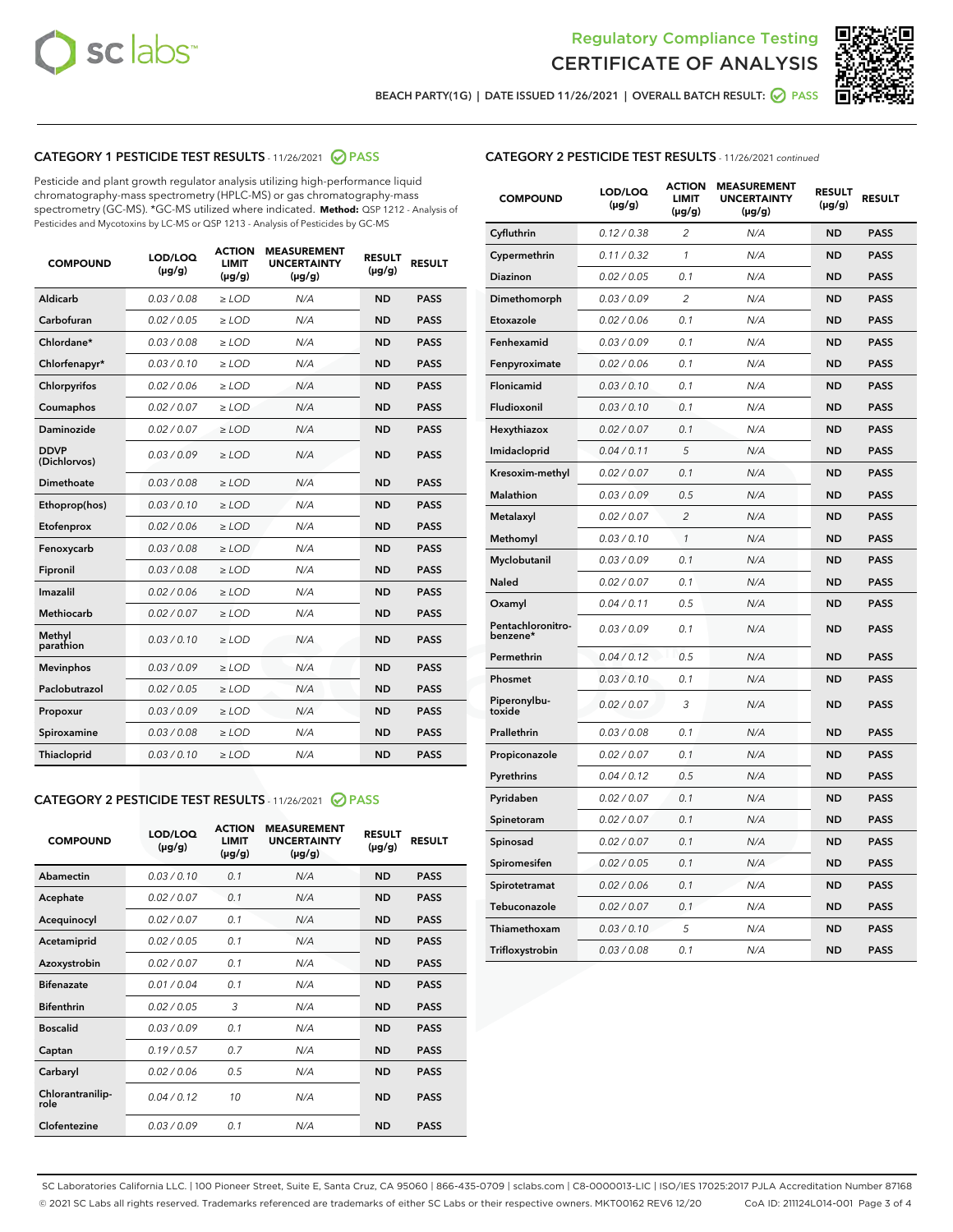



BEACH PARTY(1G) | DATE ISSUED 11/26/2021 | OVERALL BATCH RESULT: 2 PASS

# CATEGORY 1 PESTICIDE TEST RESULTS - 11/26/2021 2 PASS

Pesticide and plant growth regulator analysis utilizing high-performance liquid chromatography-mass spectrometry (HPLC-MS) or gas chromatography-mass spectrometry (GC-MS). \*GC-MS utilized where indicated. **Method:** QSP 1212 - Analysis of Pesticides and Mycotoxins by LC-MS or QSP 1213 - Analysis of Pesticides by GC-MS

| <b>COMPOUND</b>             | LOD/LOQ<br>$(\mu g/g)$ | <b>ACTION</b><br><b>LIMIT</b><br>$(\mu g/g)$ | <b>MEASUREMENT</b><br><b>UNCERTAINTY</b><br>$(\mu g/g)$ | <b>RESULT</b><br>$(\mu g/g)$ | <b>RESULT</b> |
|-----------------------------|------------------------|----------------------------------------------|---------------------------------------------------------|------------------------------|---------------|
| Aldicarb                    | 0.03 / 0.08            | $\ge$ LOD                                    | N/A                                                     | <b>ND</b>                    | <b>PASS</b>   |
| Carbofuran                  | 0.02 / 0.05            | $\ge$ LOD                                    | N/A                                                     | <b>ND</b>                    | <b>PASS</b>   |
| Chlordane*                  | 0.03 / 0.08            | $\ge$ LOD                                    | N/A                                                     | <b>ND</b>                    | <b>PASS</b>   |
| Chlorfenapyr*               | 0.03/0.10              | $\ge$ LOD                                    | N/A                                                     | <b>ND</b>                    | <b>PASS</b>   |
| Chlorpyrifos                | 0.02 / 0.06            | $\ge$ LOD                                    | N/A                                                     | <b>ND</b>                    | <b>PASS</b>   |
| Coumaphos                   | 0.02 / 0.07            | $\ge$ LOD                                    | N/A                                                     | <b>ND</b>                    | <b>PASS</b>   |
| Daminozide                  | 0.02 / 0.07            | $\ge$ LOD                                    | N/A                                                     | <b>ND</b>                    | <b>PASS</b>   |
| <b>DDVP</b><br>(Dichlorvos) | 0.03/0.09              | $>$ LOD                                      | N/A                                                     | <b>ND</b>                    | <b>PASS</b>   |
| Dimethoate                  | 0.03 / 0.08            | $\ge$ LOD                                    | N/A                                                     | <b>ND</b>                    | <b>PASS</b>   |
| Ethoprop(hos)               | 0.03/0.10              | $>$ LOD                                      | N/A                                                     | <b>ND</b>                    | <b>PASS</b>   |
| Etofenprox                  | 0.02 / 0.06            | $\ge$ LOD                                    | N/A                                                     | <b>ND</b>                    | <b>PASS</b>   |
| Fenoxycarb                  | 0.03 / 0.08            | $\ge$ LOD                                    | N/A                                                     | <b>ND</b>                    | <b>PASS</b>   |
| Fipronil                    | 0.03 / 0.08            | $\ge$ LOD                                    | N/A                                                     | <b>ND</b>                    | <b>PASS</b>   |
| Imazalil                    | 0.02 / 0.06            | $>$ LOD                                      | N/A                                                     | <b>ND</b>                    | <b>PASS</b>   |
| <b>Methiocarb</b>           | 0.02 / 0.07            | $\ge$ LOD                                    | N/A                                                     | <b>ND</b>                    | <b>PASS</b>   |
| Methyl<br>parathion         | 0.03/0.10              | $\ge$ LOD                                    | N/A                                                     | <b>ND</b>                    | <b>PASS</b>   |
| <b>Mevinphos</b>            | 0.03/0.09              | $\ge$ LOD                                    | N/A                                                     | <b>ND</b>                    | <b>PASS</b>   |
| Paclobutrazol               | 0.02 / 0.05            | $>$ LOD                                      | N/A                                                     | <b>ND</b>                    | <b>PASS</b>   |
| Propoxur                    | 0.03/0.09              | $\ge$ LOD                                    | N/A                                                     | <b>ND</b>                    | <b>PASS</b>   |
| Spiroxamine                 | 0.03 / 0.08            | $\ge$ LOD                                    | N/A                                                     | <b>ND</b>                    | <b>PASS</b>   |
| Thiacloprid                 | 0.03/0.10              | $\ge$ LOD                                    | N/A                                                     | <b>ND</b>                    | <b>PASS</b>   |

# CATEGORY 2 PESTICIDE TEST RESULTS - 11/26/2021 @ PASS

| <b>COMPOUND</b>          | LOD/LOQ<br>$(\mu g/g)$ | <b>ACTION</b><br><b>LIMIT</b><br>$(\mu g/g)$ | <b>MEASUREMENT</b><br><b>UNCERTAINTY</b><br>$(\mu g/g)$ | <b>RESULT</b><br>$(\mu g/g)$ | <b>RESULT</b> |
|--------------------------|------------------------|----------------------------------------------|---------------------------------------------------------|------------------------------|---------------|
| Abamectin                | 0.03/0.10              | 0.1                                          | N/A                                                     | <b>ND</b>                    | <b>PASS</b>   |
| Acephate                 | 0.02/0.07              | 0.1                                          | N/A                                                     | <b>ND</b>                    | <b>PASS</b>   |
| Acequinocyl              | 0.02/0.07              | 0.1                                          | N/A                                                     | <b>ND</b>                    | <b>PASS</b>   |
| Acetamiprid              | 0.02/0.05              | 0.1                                          | N/A                                                     | <b>ND</b>                    | <b>PASS</b>   |
| Azoxystrobin             | 0 02 / 0 07            | 0.1                                          | N/A                                                     | <b>ND</b>                    | <b>PASS</b>   |
| <b>Bifenazate</b>        | 0.01/0.04              | 0.1                                          | N/A                                                     | <b>ND</b>                    | <b>PASS</b>   |
| <b>Bifenthrin</b>        | 0.02/0.05              | 3                                            | N/A                                                     | <b>ND</b>                    | <b>PASS</b>   |
| <b>Boscalid</b>          | 0.03/0.09              | 0.1                                          | N/A                                                     | <b>ND</b>                    | <b>PASS</b>   |
| Captan                   | 0.19/0.57              | 0.7                                          | N/A                                                     | <b>ND</b>                    | <b>PASS</b>   |
| Carbaryl                 | 0.02/0.06              | 0.5                                          | N/A                                                     | <b>ND</b>                    | <b>PASS</b>   |
| Chlorantranilip-<br>role | 0.04/0.12              | 10                                           | N/A                                                     | <b>ND</b>                    | <b>PASS</b>   |
| Clofentezine             | 0.03/0.09              | 0.1                                          | N/A                                                     | <b>ND</b>                    | <b>PASS</b>   |

# CATEGORY 2 PESTICIDE TEST RESULTS - 11/26/2021 continued

| <b>COMPOUND</b>               | LOD/LOQ<br>(µg/g) | <b>ACTION</b><br><b>LIMIT</b><br>$(\mu g/g)$ | <b>MEASUREMENT</b><br><b>UNCERTAINTY</b><br>$(\mu g/g)$ | <b>RESULT</b><br>(µg/g) | <b>RESULT</b> |
|-------------------------------|-------------------|----------------------------------------------|---------------------------------------------------------|-------------------------|---------------|
| Cyfluthrin                    | 0.12 / 0.38       | 2                                            | N/A                                                     | <b>ND</b>               | <b>PASS</b>   |
| Cypermethrin                  | 0.11 / 0.32       | $\mathbf{1}$                                 | N/A                                                     | <b>ND</b>               | <b>PASS</b>   |
| Diazinon                      | 0.02 / 0.05       | 0.1                                          | N/A                                                     | <b>ND</b>               | <b>PASS</b>   |
| Dimethomorph                  | 0.03 / 0.09       | 2                                            | N/A                                                     | ND                      | <b>PASS</b>   |
| Etoxazole                     | 0.02 / 0.06       | 0.1                                          | N/A                                                     | ND                      | <b>PASS</b>   |
| Fenhexamid                    | 0.03 / 0.09       | 0.1                                          | N/A                                                     | <b>ND</b>               | <b>PASS</b>   |
| Fenpyroximate                 | 0.02 / 0.06       | 0.1                                          | N/A                                                     | ND                      | <b>PASS</b>   |
| Flonicamid                    | 0.03/0.10         | 0.1                                          | N/A                                                     | <b>ND</b>               | <b>PASS</b>   |
| Fludioxonil                   | 0.03 / 0.10       | 0.1                                          | N/A                                                     | <b>ND</b>               | <b>PASS</b>   |
| Hexythiazox                   | 0.02 / 0.07       | 0.1                                          | N/A                                                     | ND                      | <b>PASS</b>   |
| Imidacloprid                  | 0.04 / 0.11       | 5                                            | N/A                                                     | <b>ND</b>               | <b>PASS</b>   |
| Kresoxim-methyl               | 0.02 / 0.07       | 0.1                                          | N/A                                                     | ND                      | <b>PASS</b>   |
| <b>Malathion</b>              | 0.03 / 0.09       | 0.5                                          | N/A                                                     | ND                      | <b>PASS</b>   |
| Metalaxyl                     | 0.02 / 0.07       | $\overline{2}$                               | N/A                                                     | <b>ND</b>               | <b>PASS</b>   |
| Methomyl                      | 0.03 / 0.10       | 1                                            | N/A                                                     | ND                      | <b>PASS</b>   |
| Myclobutanil                  | 0.03 / 0.09       | 0.1                                          | N/A                                                     | ND                      | <b>PASS</b>   |
| Naled                         | 0.02 / 0.07       | 0.1                                          | N/A                                                     | <b>ND</b>               | <b>PASS</b>   |
| Oxamyl                        | 0.04 / 0.11       | 0.5                                          | N/A                                                     | ND                      | <b>PASS</b>   |
| Pentachloronitro-<br>benzene* | 0.03/0.09         | 0.1                                          | N/A                                                     | <b>ND</b>               | <b>PASS</b>   |
| Permethrin                    | 0.04 / 0.12       | 0.5                                          | N/A                                                     | ND                      | <b>PASS</b>   |
| Phosmet                       | 0.03 / 0.10       | 0.1                                          | N/A                                                     | <b>ND</b>               | <b>PASS</b>   |
| Piperonylbu-<br>toxide        | 0.02 / 0.07       | 3                                            | N/A                                                     | <b>ND</b>               | <b>PASS</b>   |
| Prallethrin                   | 0.03 / 0.08       | 0.1                                          | N/A                                                     | ND                      | PASS          |
| Propiconazole                 | 0.02 / 0.07       | 0.1                                          | N/A                                                     | <b>ND</b>               | <b>PASS</b>   |
| Pyrethrins                    | 0.04 / 0.12       | 0.5                                          | N/A                                                     | ND                      | <b>PASS</b>   |
| Pyridaben                     | 0.02 / 0.07       | 0.1                                          | N/A                                                     | ND                      | PASS          |
| Spinetoram                    | 0.02 / 0.07       | 0.1                                          | N/A                                                     | <b>ND</b>               | <b>PASS</b>   |
| Spinosad                      | 0.02 / 0.07       | 0.1                                          | N/A                                                     | ND                      | <b>PASS</b>   |
| Spiromesifen                  | 0.02 / 0.05       | 0.1                                          | N/A                                                     | ND                      | PASS          |
| Spirotetramat                 | 0.02 / 0.06       | 0.1                                          | N/A                                                     | <b>ND</b>               | <b>PASS</b>   |
| Tebuconazole                  | 0.02 / 0.07       | 0.1                                          | N/A                                                     | ND                      | <b>PASS</b>   |
| Thiamethoxam                  | 0.03 / 0.10       | 5                                            | N/A                                                     | ND                      | <b>PASS</b>   |
| Trifloxystrobin               | 0.03 / 0.08       | 0.1                                          | N/A                                                     | <b>ND</b>               | <b>PASS</b>   |

SC Laboratories California LLC. | 100 Pioneer Street, Suite E, Santa Cruz, CA 95060 | 866-435-0709 | sclabs.com | C8-0000013-LIC | ISO/IES 17025:2017 PJLA Accreditation Number 87168 © 2021 SC Labs all rights reserved. Trademarks referenced are trademarks of either SC Labs or their respective owners. MKT00162 REV6 12/20 CoA ID: 211124L014-001 Page 3 of 4